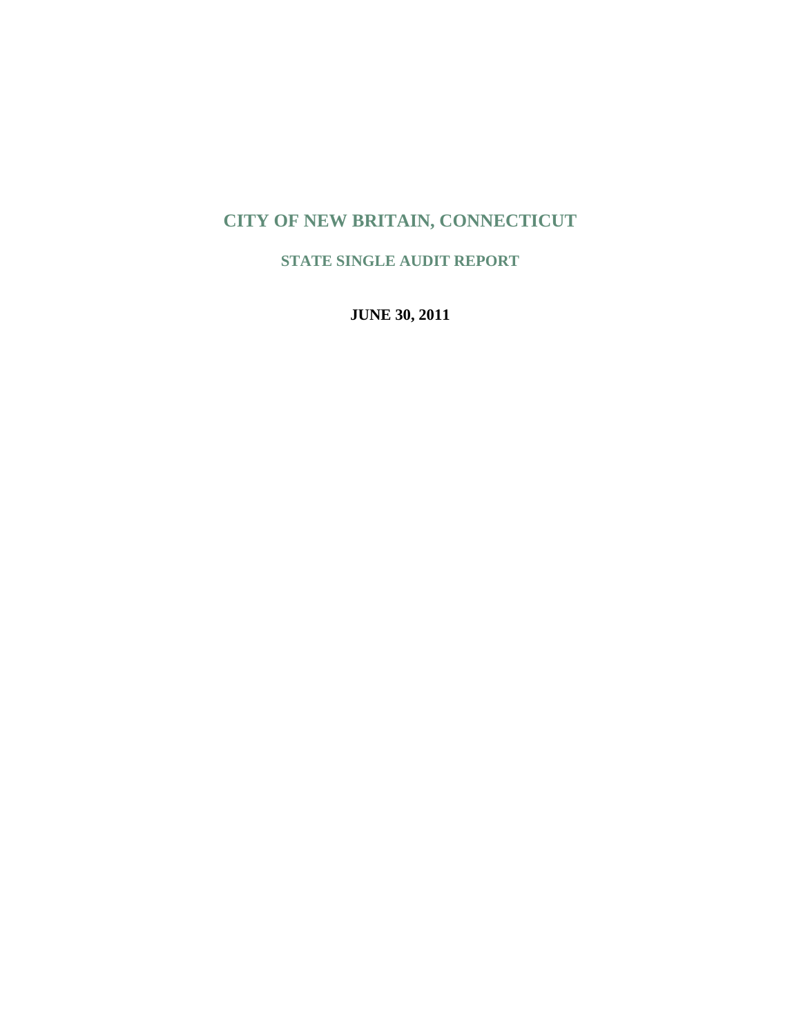# **CITY OF NEW BRITAIN, CONNECTICUT**

**STATE SINGLE AUDIT REPORT** 

**JUNE 30, 2011**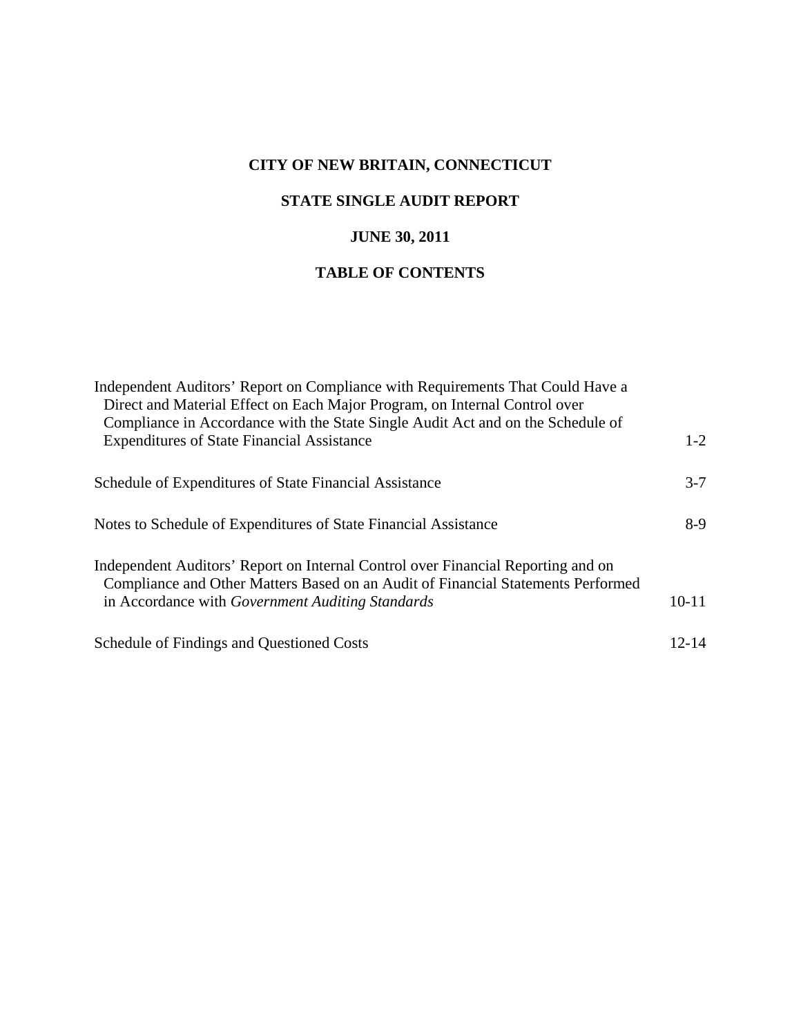# **CITY OF NEW BRITAIN, CONNECTICUT**

# **STATE SINGLE AUDIT REPORT**

# **JUNE 30, 2011**

# **TABLE OF CONTENTS**

| Independent Auditors' Report on Compliance with Requirements That Could Have a   |           |
|----------------------------------------------------------------------------------|-----------|
| Direct and Material Effect on Each Major Program, on Internal Control over       |           |
| Compliance in Accordance with the State Single Audit Act and on the Schedule of  |           |
| <b>Expenditures of State Financial Assistance</b>                                | $1 - 2$   |
| Schedule of Expenditures of State Financial Assistance                           | $3 - 7$   |
|                                                                                  |           |
| Notes to Schedule of Expenditures of State Financial Assistance                  | $8-9$     |
| Independent Auditors' Report on Internal Control over Financial Reporting and on |           |
| Compliance and Other Matters Based on an Audit of Financial Statements Performed |           |
| in Accordance with <i>Government Auditing Standards</i>                          | $10 - 11$ |
| Schedule of Findings and Questioned Costs                                        | $12 - 14$ |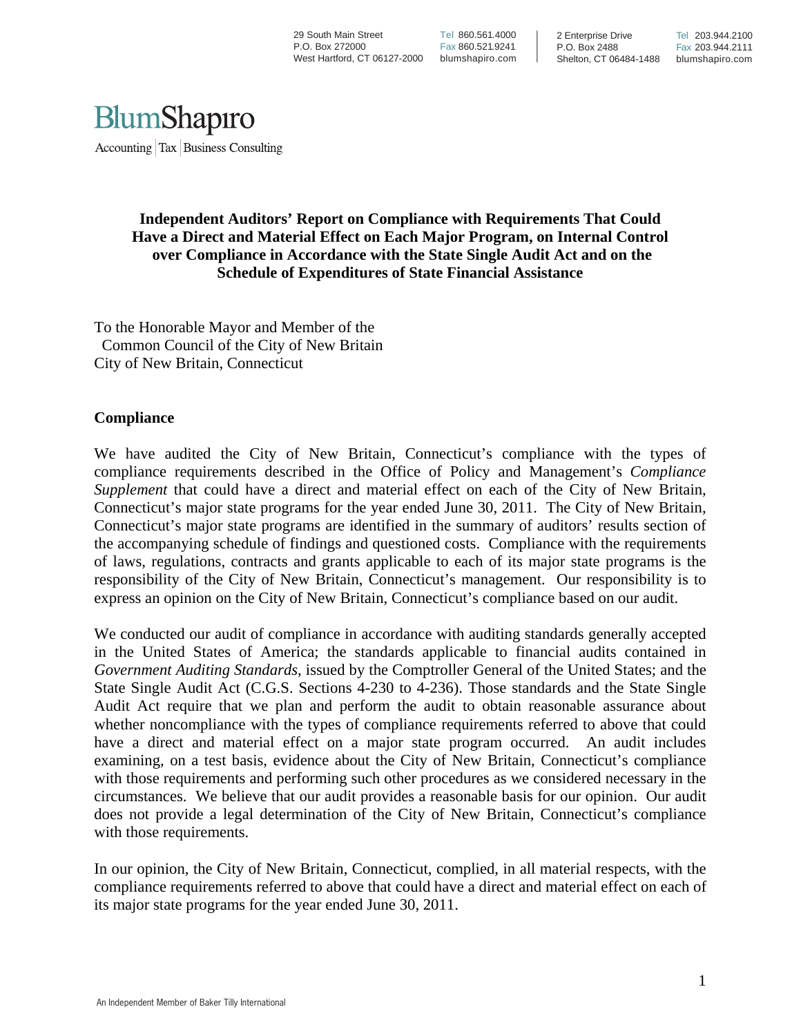

## **Independent Auditors' Report on Compliance with Requirements That Could Have a Direct and Material Effect on Each Major Program, on Internal Control over Compliance in Accordance with the State Single Audit Act and on the Schedule of Expenditures of State Financial Assistance**

To the Honorable Mayor and Member of the Common Council of the City of New Britain City of New Britain, Connecticut

# **Compliance**

We have audited the City of New Britain, Connecticut's compliance with the types of compliance requirements described in the Office of Policy and Management's *Compliance Supplement* that could have a direct and material effect on each of the City of New Britain, Connecticut's major state programs for the year ended June 30, 2011. The City of New Britain, Connecticut's major state programs are identified in the summary of auditors' results section of the accompanying schedule of findings and questioned costs. Compliance with the requirements of laws, regulations, contracts and grants applicable to each of its major state programs is the responsibility of the City of New Britain, Connecticut's management. Our responsibility is to express an opinion on the City of New Britain, Connecticut's compliance based on our audit.

We conducted our audit of compliance in accordance with auditing standards generally accepted in the United States of America; the standards applicable to financial audits contained in *Government Auditing Standards*, issued by the Comptroller General of the United States; and the State Single Audit Act (C.G.S. Sections 4-230 to 4-236). Those standards and the State Single Audit Act require that we plan and perform the audit to obtain reasonable assurance about whether noncompliance with the types of compliance requirements referred to above that could have a direct and material effect on a major state program occurred. An audit includes examining, on a test basis, evidence about the City of New Britain, Connecticut's compliance with those requirements and performing such other procedures as we considered necessary in the circumstances. We believe that our audit provides a reasonable basis for our opinion. Our audit does not provide a legal determination of the City of New Britain, Connecticut's compliance with those requirements.

In our opinion, the City of New Britain, Connecticut, complied, in all material respects, with the compliance requirements referred to above that could have a direct and material effect on each of its major state programs for the year ended June 30, 2011.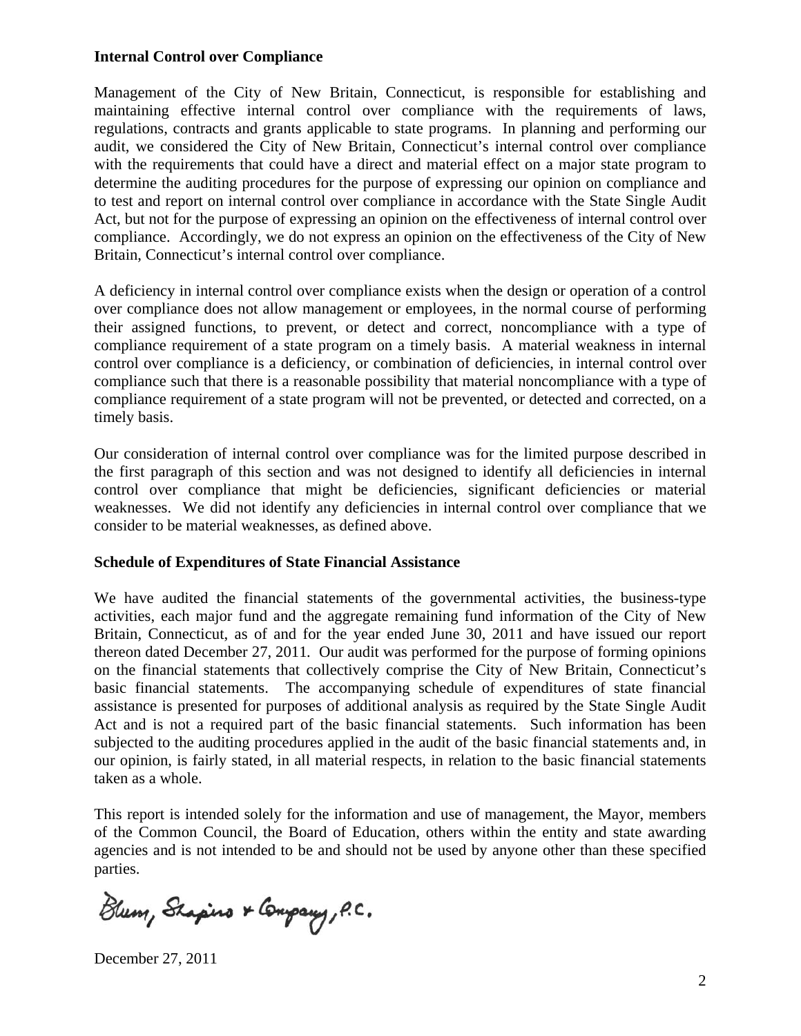#### **Internal Control over Compliance**

Management of the City of New Britain, Connecticut, is responsible for establishing and maintaining effective internal control over compliance with the requirements of laws, regulations, contracts and grants applicable to state programs. In planning and performing our audit, we considered the City of New Britain, Connecticut's internal control over compliance with the requirements that could have a direct and material effect on a major state program to determine the auditing procedures for the purpose of expressing our opinion on compliance and to test and report on internal control over compliance in accordance with the State Single Audit Act, but not for the purpose of expressing an opinion on the effectiveness of internal control over compliance. Accordingly, we do not express an opinion on the effectiveness of the City of New Britain, Connecticut's internal control over compliance.

A deficiency in internal control over compliance exists when the design or operation of a control over compliance does not allow management or employees, in the normal course of performing their assigned functions, to prevent, or detect and correct, noncompliance with a type of compliance requirement of a state program on a timely basis. A material weakness in internal control over compliance is a deficiency, or combination of deficiencies, in internal control over compliance such that there is a reasonable possibility that material noncompliance with a type of compliance requirement of a state program will not be prevented, or detected and corrected, on a timely basis.

Our consideration of internal control over compliance was for the limited purpose described in the first paragraph of this section and was not designed to identify all deficiencies in internal control over compliance that might be deficiencies, significant deficiencies or material weaknesses. We did not identify any deficiencies in internal control over compliance that we consider to be material weaknesses, as defined above.

#### **Schedule of Expenditures of State Financial Assistance**

We have audited the financial statements of the governmental activities, the business-type activities, each major fund and the aggregate remaining fund information of the City of New Britain, Connecticut, as of and for the year ended June 30, 2011 and have issued our report thereon dated December 27, 2011*.* Our audit was performed for the purpose of forming opinions on the financial statements that collectively comprise the City of New Britain, Connecticut's basic financial statements. The accompanying schedule of expenditures of state financial assistance is presented for purposes of additional analysis as required by the State Single Audit Act and is not a required part of the basic financial statements. Such information has been subjected to the auditing procedures applied in the audit of the basic financial statements and, in our opinion, is fairly stated, in all material respects, in relation to the basic financial statements taken as a whole.

This report is intended solely for the information and use of management, the Mayor, members of the Common Council, the Board of Education, others within the entity and state awarding agencies and is not intended to be and should not be used by anyone other than these specified parties.

Blum, Shapino & Company, P.C.

December 27, 2011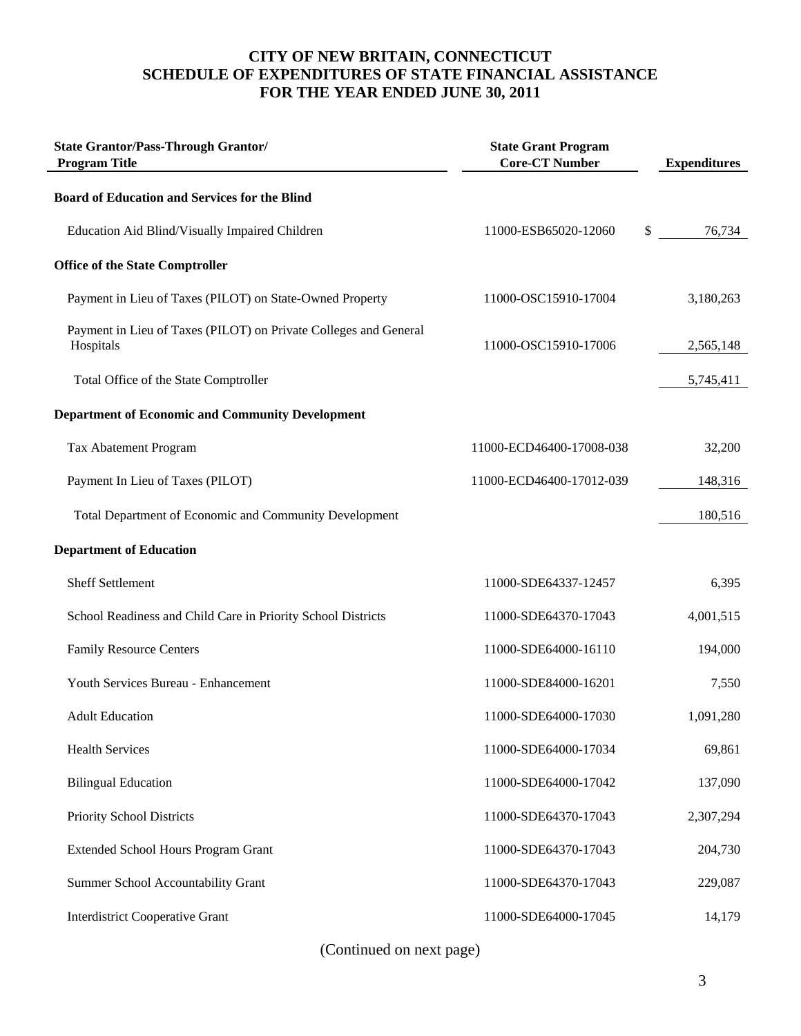| <b>State Grantor/Pass-Through Grantor/</b><br><b>Program Title</b>            | <b>State Grant Program</b><br><b>Core-CT Number</b> | <b>Expenditures</b> |
|-------------------------------------------------------------------------------|-----------------------------------------------------|---------------------|
| Board of Education and Services for the Blind                                 |                                                     |                     |
| Education Aid Blind/Visually Impaired Children                                | 11000-ESB65020-12060                                | \$<br>76,734        |
| <b>Office of the State Comptroller</b>                                        |                                                     |                     |
| Payment in Lieu of Taxes (PILOT) on State-Owned Property                      | 11000-OSC15910-17004                                | 3,180,263           |
| Payment in Lieu of Taxes (PILOT) on Private Colleges and General<br>Hospitals | 11000-OSC15910-17006                                | 2,565,148           |
| Total Office of the State Comptroller                                         |                                                     | 5,745,411           |
| <b>Department of Economic and Community Development</b>                       |                                                     |                     |
| Tax Abatement Program                                                         | 11000-ECD46400-17008-038                            | 32,200              |
| Payment In Lieu of Taxes (PILOT)                                              | 11000-ECD46400-17012-039                            | 148,316             |
| Total Department of Economic and Community Development                        |                                                     | 180,516             |
| <b>Department of Education</b>                                                |                                                     |                     |
| <b>Sheff Settlement</b>                                                       | 11000-SDE64337-12457                                | 6,395               |
| School Readiness and Child Care in Priority School Districts                  | 11000-SDE64370-17043                                | 4,001,515           |
| <b>Family Resource Centers</b>                                                | 11000-SDE64000-16110                                | 194,000             |
| Youth Services Bureau - Enhancement                                           | 11000-SDE84000-16201                                | 7,550               |
| <b>Adult Education</b>                                                        | 11000-SDE64000-17030                                | 1,091,280           |
| <b>Health Services</b>                                                        | 11000-SDE64000-17034                                | 69,861              |
| <b>Bilingual Education</b>                                                    | 11000-SDE64000-17042                                | 137,090             |
| Priority School Districts                                                     | 11000-SDE64370-17043                                | 2,307,294           |
| <b>Extended School Hours Program Grant</b>                                    | 11000-SDE64370-17043                                | 204,730             |
| Summer School Accountability Grant                                            | 11000-SDE64370-17043                                | 229,087             |
| <b>Interdistrict Cooperative Grant</b>                                        | 11000-SDE64000-17045                                | 14,179              |

(Continued on next page)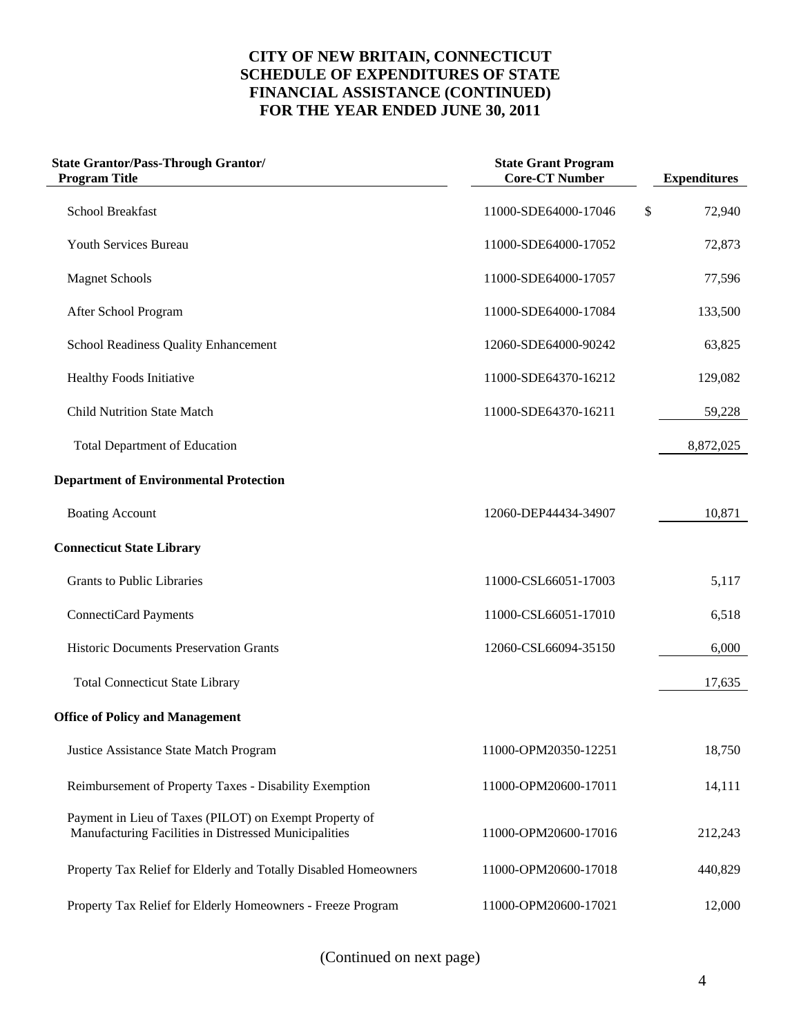| <b>State Grantor/Pass-Through Grantor/</b><br><b>Program Title</b> | <b>State Grant Program</b><br><b>Core-CT Number</b> | <b>Expenditures</b> |
|--------------------------------------------------------------------|-----------------------------------------------------|---------------------|
|                                                                    |                                                     |                     |
| <b>School Breakfast</b>                                            | 11000-SDE64000-17046                                | \$<br>72,940        |
| Youth Services Bureau                                              | 11000-SDE64000-17052                                | 72,873              |
| <b>Magnet Schools</b>                                              | 11000-SDE64000-17057                                | 77,596              |
| After School Program                                               | 11000-SDE64000-17084                                | 133,500             |
| School Readiness Quality Enhancement                               | 12060-SDE64000-90242                                | 63,825              |
| Healthy Foods Initiative                                           | 11000-SDE64370-16212                                | 129,082             |
| <b>Child Nutrition State Match</b>                                 | 11000-SDE64370-16211                                | 59,228              |
| <b>Total Department of Education</b>                               |                                                     | 8,872,025           |
| <b>Department of Environmental Protection</b>                      |                                                     |                     |
| <b>Boating Account</b>                                             | 12060-DEP44434-34907                                | 10,871              |
| <b>Connecticut State Library</b>                                   |                                                     |                     |
| <b>Grants to Public Libraries</b>                                  | 11000-CSL66051-17003                                | 5,117               |
| <b>ConnectiCard Payments</b>                                       | 11000-CSL66051-17010                                | 6,518               |
| Historic Documents Preservation Grants                             | 12060-CSL66094-35150                                | 6,000               |
| <b>Total Connecticut State Library</b>                             |                                                     | 17,635              |
| <b>Office of Policy and Management</b>                             |                                                     |                     |
| Justice Assistance State Match Program                             | 11000-OPM20350-12251                                | 18,750              |
| Reimbursement of Property Taxes - Disability Exemption             | 11000-OPM20600-17011                                | 14,111              |
| Payment in Lieu of Taxes (PILOT) on Exempt Property of             |                                                     |                     |
| Manufacturing Facilities in Distressed Municipalities              | 11000-OPM20600-17016                                | 212,243             |
| Property Tax Relief for Elderly and Totally Disabled Homeowners    | 11000-OPM20600-17018                                | 440,829             |
| Property Tax Relief for Elderly Homeowners - Freeze Program        | 11000-OPM20600-17021                                | 12,000              |

(Continued on next page)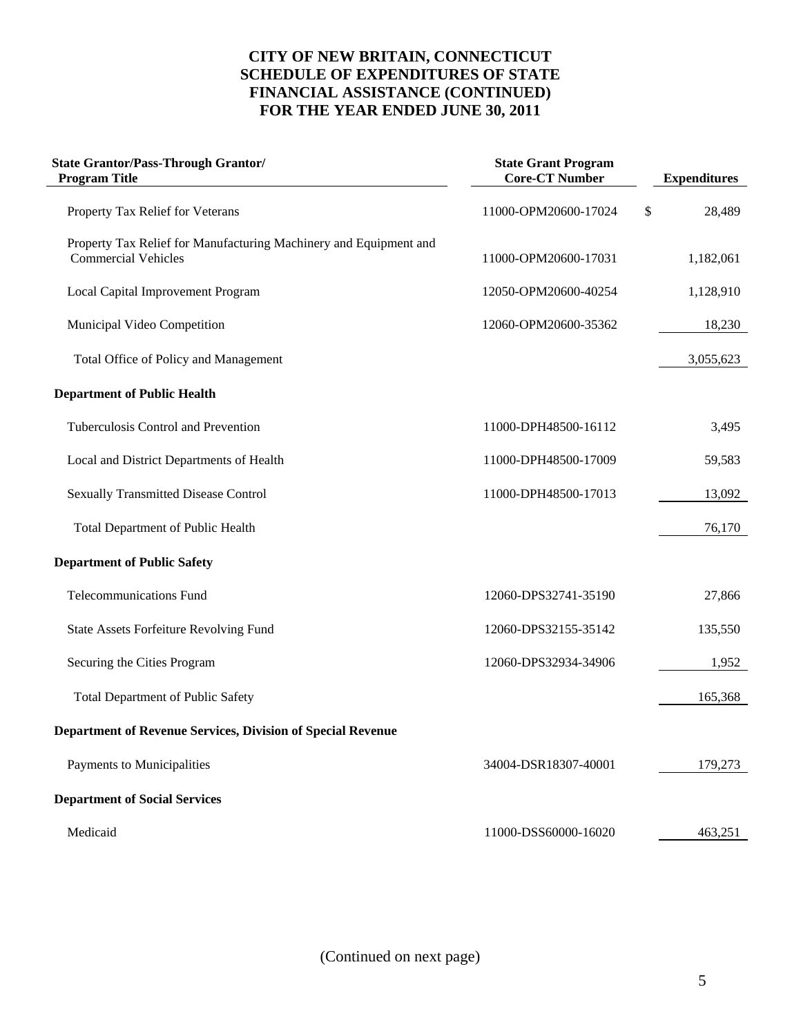| <b>State Grantor/Pass-Through Grantor/</b><br><b>Program Title</b>                              | <b>State Grant Program</b><br><b>Core-CT Number</b> | <b>Expenditures</b> |
|-------------------------------------------------------------------------------------------------|-----------------------------------------------------|---------------------|
| Property Tax Relief for Veterans                                                                | 11000-OPM20600-17024                                | \$<br>28,489        |
| Property Tax Relief for Manufacturing Machinery and Equipment and<br><b>Commercial Vehicles</b> | 11000-OPM20600-17031                                | 1,182,061           |
| Local Capital Improvement Program                                                               | 12050-OPM20600-40254                                | 1,128,910           |
| Municipal Video Competition                                                                     | 12060-OPM20600-35362                                | 18,230              |
| Total Office of Policy and Management                                                           |                                                     | 3,055,623           |
| <b>Department of Public Health</b>                                                              |                                                     |                     |
| Tuberculosis Control and Prevention                                                             | 11000-DPH48500-16112                                | 3,495               |
| Local and District Departments of Health                                                        | 11000-DPH48500-17009                                | 59,583              |
| <b>Sexually Transmitted Disease Control</b>                                                     | 11000-DPH48500-17013                                | 13,092              |
| <b>Total Department of Public Health</b>                                                        |                                                     | 76,170              |
| <b>Department of Public Safety</b>                                                              |                                                     |                     |
| <b>Telecommunications Fund</b>                                                                  | 12060-DPS32741-35190                                | 27,866              |
| <b>State Assets Forfeiture Revolving Fund</b>                                                   | 12060-DPS32155-35142                                | 135,550             |
| Securing the Cities Program                                                                     | 12060-DPS32934-34906                                | 1,952               |
| <b>Total Department of Public Safety</b>                                                        |                                                     | 165,368             |
| <b>Department of Revenue Services, Division of Special Revenue</b>                              |                                                     |                     |
| Payments to Municipalities                                                                      | 34004-DSR18307-40001                                | 179,273             |
| <b>Department of Social Services</b>                                                            |                                                     |                     |
| Medicaid                                                                                        | 11000-DSS60000-16020                                | 463,251             |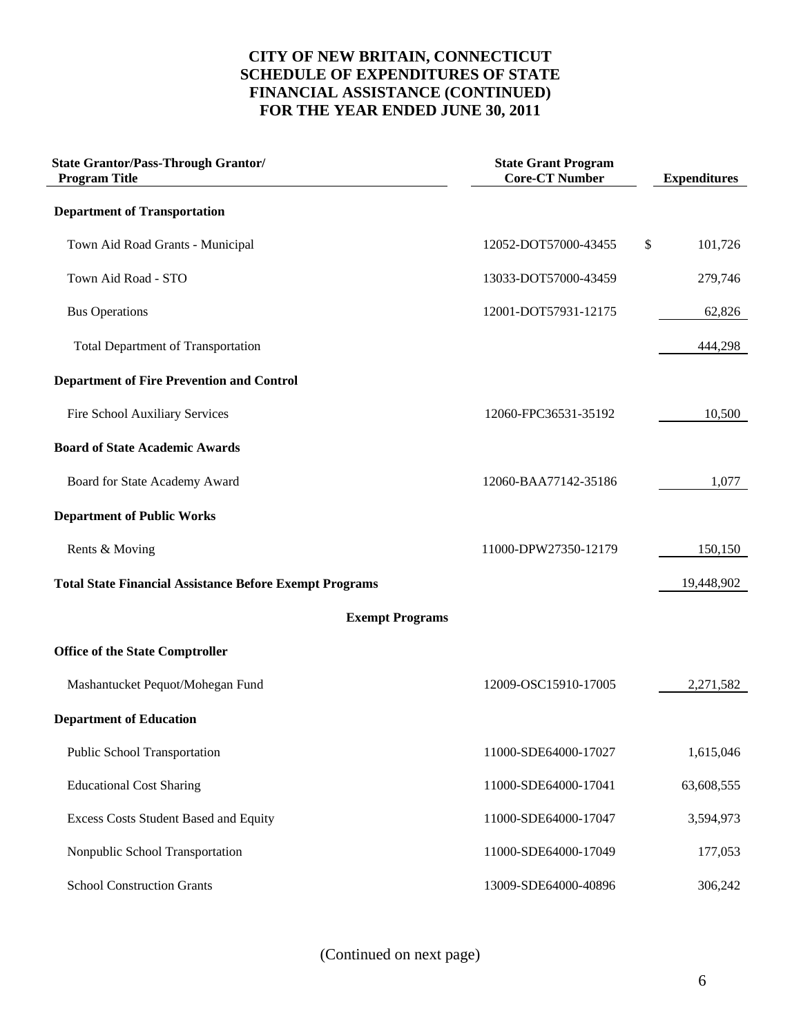| <b>State Grantor/Pass-Through Grantor/</b><br><b>Program Title</b> | <b>State Grant Program</b><br><b>Core-CT Number</b> | <b>Expenditures</b> |
|--------------------------------------------------------------------|-----------------------------------------------------|---------------------|
| <b>Department of Transportation</b>                                |                                                     |                     |
| Town Aid Road Grants - Municipal                                   | 12052-DOT57000-43455                                | 101,726<br>\$       |
| Town Aid Road - STO                                                | 13033-DOT57000-43459                                | 279,746             |
| <b>Bus Operations</b>                                              | 12001-DOT57931-12175                                | 62,826              |
| <b>Total Department of Transportation</b>                          |                                                     | 444,298             |
| <b>Department of Fire Prevention and Control</b>                   |                                                     |                     |
| Fire School Auxiliary Services                                     | 12060-FPC36531-35192                                | 10,500              |
| <b>Board of State Academic Awards</b>                              |                                                     |                     |
| Board for State Academy Award                                      | 12060-BAA77142-35186                                | 1,077               |
| <b>Department of Public Works</b>                                  |                                                     |                     |
| Rents & Moving                                                     | 11000-DPW27350-12179                                | 150,150             |
| <b>Total State Financial Assistance Before Exempt Programs</b>     |                                                     | 19,448,902          |
| <b>Exempt Programs</b>                                             |                                                     |                     |
| <b>Office of the State Comptroller</b>                             |                                                     |                     |
| Mashantucket Pequot/Mohegan Fund                                   | 12009-OSC15910-17005                                | 2,271,582           |
| <b>Department of Education</b>                                     |                                                     |                     |
| Public School Transportation                                       | 11000-SDE64000-17027                                | 1,615,046           |
| <b>Educational Cost Sharing</b>                                    | 11000-SDE64000-17041                                | 63,608,555          |
| <b>Excess Costs Student Based and Equity</b>                       | 11000-SDE64000-17047                                | 3,594,973           |
| Nonpublic School Transportation                                    | 11000-SDE64000-17049                                | 177,053             |
| <b>School Construction Grants</b>                                  | 13009-SDE64000-40896                                | 306,242             |

(Continued on next page)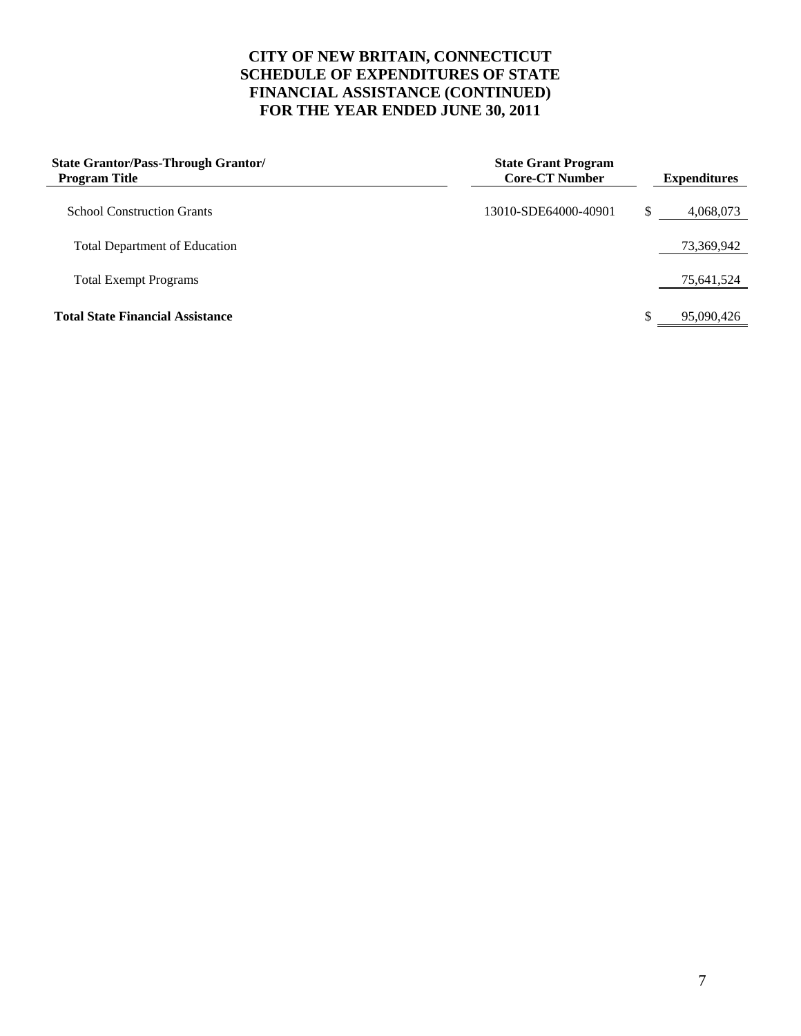| <b>State Grantor/Pass-Through Grantor/</b><br><b>Program Title</b> | <b>State Grant Program</b><br><b>Core-CT Number</b> |    | <b>Expenditures</b> |
|--------------------------------------------------------------------|-----------------------------------------------------|----|---------------------|
| <b>School Construction Grants</b>                                  | 13010-SDE64000-40901                                | \$ | 4,068,073           |
| <b>Total Department of Education</b>                               |                                                     |    | 73,369,942          |
| <b>Total Exempt Programs</b>                                       |                                                     |    | 75,641,524          |
| <b>Total State Financial Assistance</b>                            |                                                     | S  | 95,090,426          |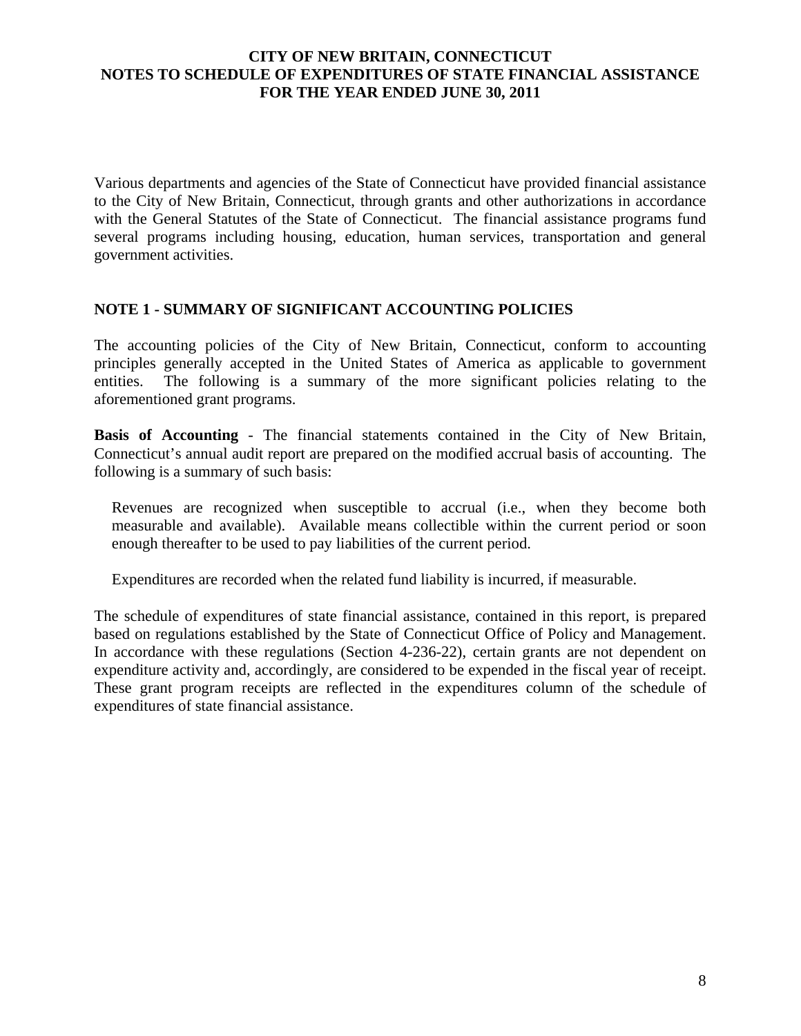Various departments and agencies of the State of Connecticut have provided financial assistance to the City of New Britain, Connecticut, through grants and other authorizations in accordance with the General Statutes of the State of Connecticut. The financial assistance programs fund several programs including housing, education, human services, transportation and general government activities.

#### **NOTE 1 - SUMMARY OF SIGNIFICANT ACCOUNTING POLICIES**

The accounting policies of the City of New Britain, Connecticut, conform to accounting principles generally accepted in the United States of America as applicable to government entities. The following is a summary of the more significant policies relating to the aforementioned grant programs.

**Basis of Accounting** - The financial statements contained in the City of New Britain, Connecticut's annual audit report are prepared on the modified accrual basis of accounting. The following is a summary of such basis:

Revenues are recognized when susceptible to accrual (i.e., when they become both measurable and available). Available means collectible within the current period or soon enough thereafter to be used to pay liabilities of the current period.

Expenditures are recorded when the related fund liability is incurred, if measurable.

The schedule of expenditures of state financial assistance, contained in this report, is prepared based on regulations established by the State of Connecticut Office of Policy and Management. In accordance with these regulations (Section 4-236-22), certain grants are not dependent on expenditure activity and, accordingly, are considered to be expended in the fiscal year of receipt. These grant program receipts are reflected in the expenditures column of the schedule of expenditures of state financial assistance.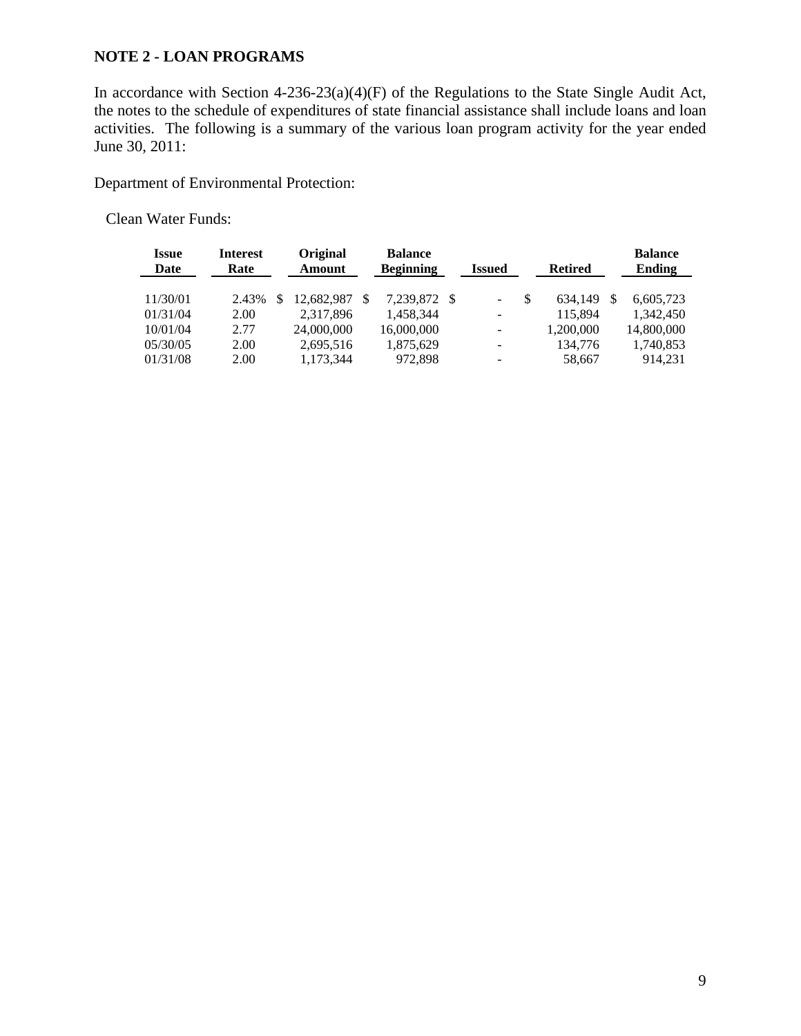# **NOTE 2 - LOAN PROGRAMS**

In accordance with Section 4-236-23(a)(4)(F) of the Regulations to the State Single Audit Act, the notes to the schedule of expenditures of state financial assistance shall include loans and loan activities. The following is a summary of the various loan program activity for the year ended June 30, 2011:

Department of Environmental Protection:

Clean Water Funds:

| <b>Issue</b><br>Date | <b>Interest</b><br>Rate | Original<br>Amount | <b>Balance</b><br><b>Beginning</b> |      | <b>Issued</b>            | <b>Retired</b> | <b>Balance</b><br>Ending |
|----------------------|-------------------------|--------------------|------------------------------------|------|--------------------------|----------------|--------------------------|
|                      |                         |                    |                                    |      |                          |                |                          |
| 11/30/01             | 2.43%<br>S              | 12.682.987         | 7,239,872                          | - \$ | $\overline{\phantom{a}}$ | \$<br>634.149  | 6,605,723                |
| 01/31/04             | 2.00                    | 2,317,896          | 1,458,344                          |      | -                        | 115,894        | 1.342.450                |
| 10/01/04             | 2.77                    | 24,000,000         | 16,000,000                         |      | $\overline{\phantom{0}}$ | 1,200,000      | 14,800,000               |
| 05/30/05             | 2.00                    | 2,695,516          | 1,875,629                          |      | $\overline{\phantom{0}}$ | 134,776        | 1,740,853                |
| 01/31/08             | 2.00                    | 1.173.344          | 972,898                            |      |                          | 58.667         | 914.231                  |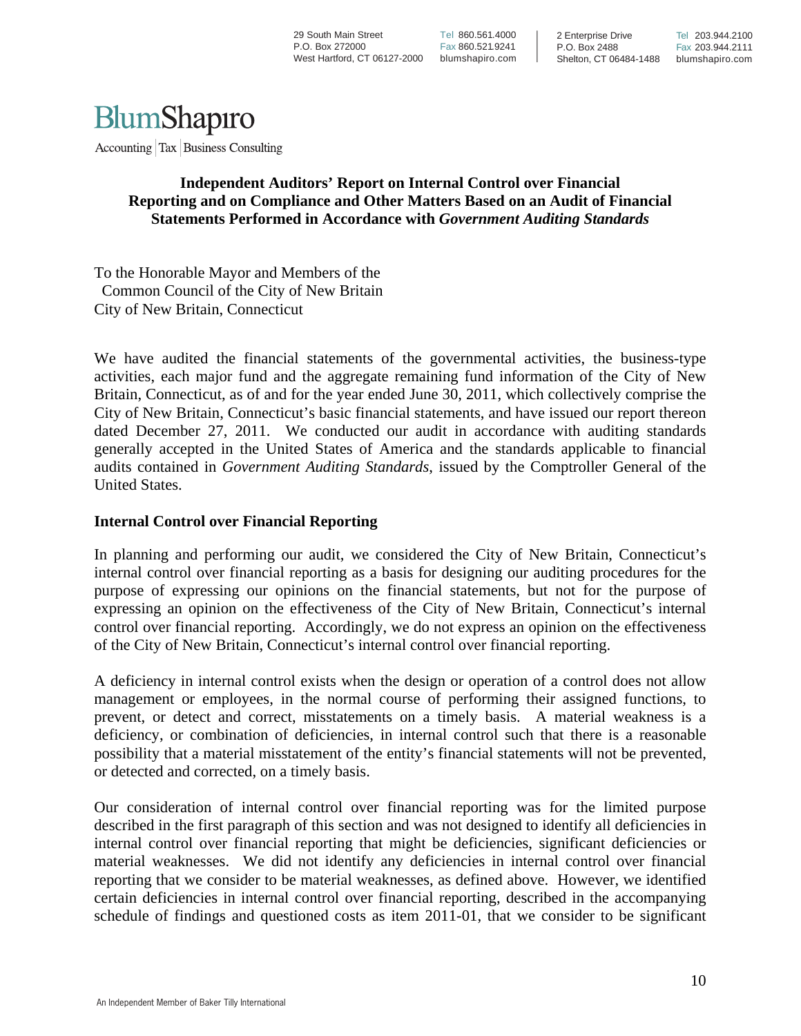

Accounting Tax Business Consulting

#### **Independent Auditors' Report on Internal Control over Financial Reporting and on Compliance and Other Matters Based on an Audit of Financial Statements Performed in Accordance with** *Government Auditing Standards*

To the Honorable Mayor and Members of the Common Council of the City of New Britain City of New Britain, Connecticut

We have audited the financial statements of the governmental activities, the business-type activities, each major fund and the aggregate remaining fund information of the City of New Britain, Connecticut, as of and for the year ended June 30, 2011, which collectively comprise the City of New Britain, Connecticut's basic financial statements, and have issued our report thereon dated December 27, 2011. We conducted our audit in accordance with auditing standards generally accepted in the United States of America and the standards applicable to financial audits contained in *Government Auditing Standards*, issued by the Comptroller General of the United States.

#### **Internal Control over Financial Reporting**

In planning and performing our audit, we considered the City of New Britain, Connecticut's internal control over financial reporting as a basis for designing our auditing procedures for the purpose of expressing our opinions on the financial statements, but not for the purpose of expressing an opinion on the effectiveness of the City of New Britain, Connecticut's internal control over financial reporting. Accordingly, we do not express an opinion on the effectiveness of the City of New Britain, Connecticut's internal control over financial reporting.

A deficiency in internal control exists when the design or operation of a control does not allow management or employees, in the normal course of performing their assigned functions, to prevent, or detect and correct, misstatements on a timely basis. A material weakness is a deficiency, or combination of deficiencies, in internal control such that there is a reasonable possibility that a material misstatement of the entity's financial statements will not be prevented, or detected and corrected, on a timely basis.

Our consideration of internal control over financial reporting was for the limited purpose described in the first paragraph of this section and was not designed to identify all deficiencies in internal control over financial reporting that might be deficiencies, significant deficiencies or material weaknesses. We did not identify any deficiencies in internal control over financial reporting that we consider to be material weaknesses, as defined above. However, we identified certain deficiencies in internal control over financial reporting, described in the accompanying schedule of findings and questioned costs as item 2011-01, that we consider to be significant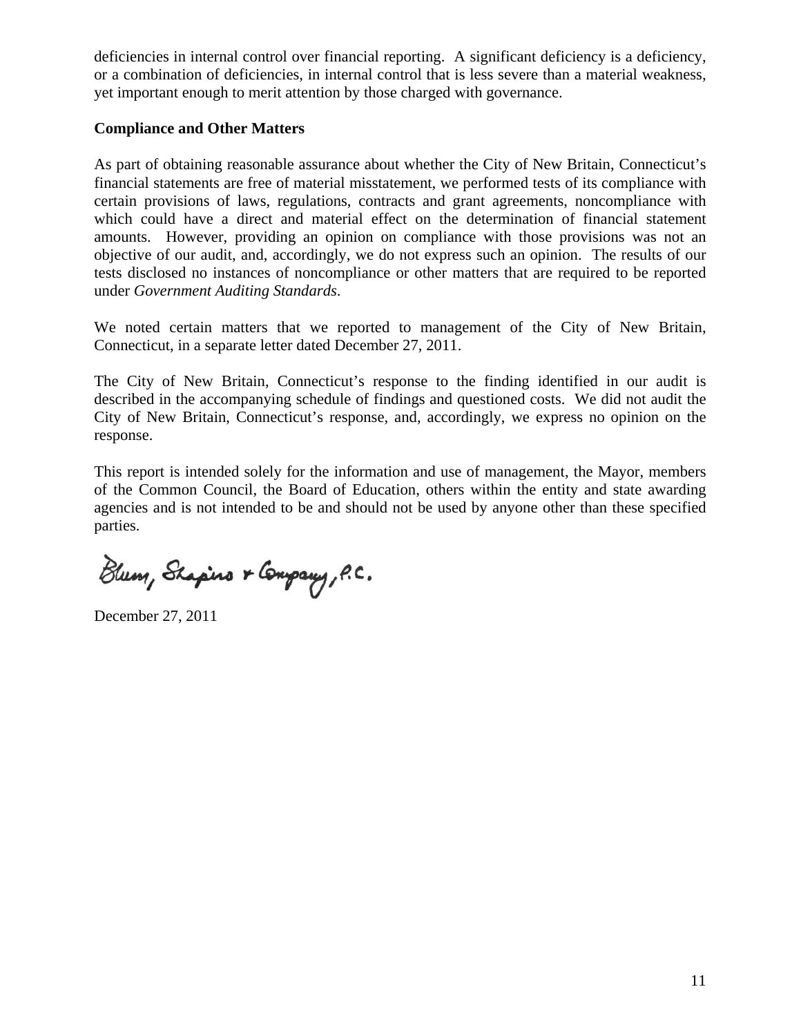deficiencies in internal control over financial reporting. A significant deficiency is a deficiency, or a combination of deficiencies, in internal control that is less severe than a material weakness, yet important enough to merit attention by those charged with governance.

#### **Compliance and Other Matters**

As part of obtaining reasonable assurance about whether the City of New Britain, Connecticut's financial statements are free of material misstatement, we performed tests of its compliance with certain provisions of laws, regulations, contracts and grant agreements, noncompliance with which could have a direct and material effect on the determination of financial statement amounts. However, providing an opinion on compliance with those provisions was not an objective of our audit, and, accordingly, we do not express such an opinion. The results of our tests disclosed no instances of noncompliance or other matters that are required to be reported under *Government Auditing Standards*.

We noted certain matters that we reported to management of the City of New Britain, Connecticut, in a separate letter dated December 27, 2011.

The City of New Britain, Connecticut's response to the finding identified in our audit is described in the accompanying schedule of findings and questioned costs. We did not audit the City of New Britain, Connecticut's response, and, accordingly, we express no opinion on the response.

This report is intended solely for the information and use of management, the Mayor, members of the Common Council, the Board of Education, others within the entity and state awarding agencies and is not intended to be and should not be used by anyone other than these specified parties.

Blum, Shapino & Company, P.C.

December 27, 2011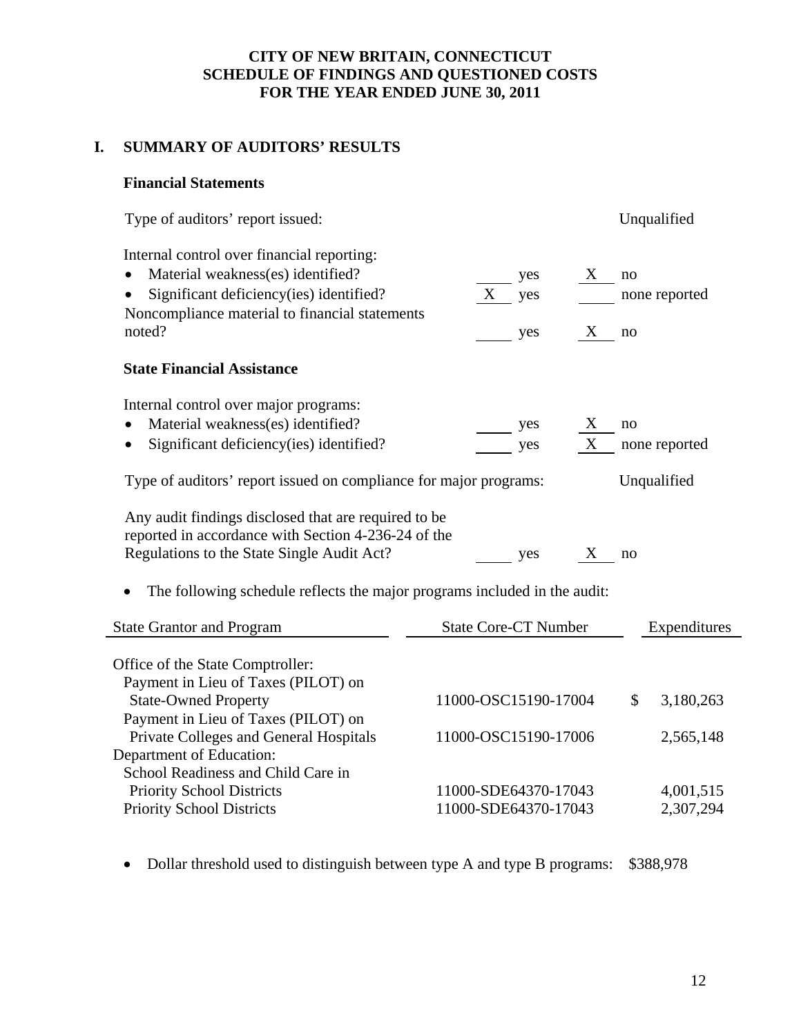## **CITY OF NEW BRITAIN, CONNECTICUT SCHEDULE OF FINDINGS AND QUESTIONED COSTS FOR THE YEAR ENDED JUNE 30, 2011**

# **I. SUMMARY OF AUDITORS' RESULTS**

## **Financial Statements**

| Type of auditors' report issued:                                                                                                                                                          |                                                    | Unqualified     |
|-------------------------------------------------------------------------------------------------------------------------------------------------------------------------------------------|----------------------------------------------------|-----------------|
| Internal control over financial reporting:<br>Material weakness(es) identified?<br>$\bullet$<br>Significant deficiency(ies) identified?<br>Noncompliance material to financial statements | $\boldsymbol{\mathrm{X}}$<br>yes<br>no<br>X<br>yes | none reported   |
| noted?                                                                                                                                                                                    | X<br>yes<br>no                                     |                 |
| <b>State Financial Assistance</b>                                                                                                                                                         |                                                    |                 |
| Internal control over major programs:                                                                                                                                                     |                                                    |                 |
| Material weakness(es) identified?                                                                                                                                                         | X<br>yes<br>no                                     |                 |
| Significant deficiency(ies) identified?                                                                                                                                                   | $\mathbf X$<br>yes                                 | none reported   |
| Type of auditors' report issued on compliance for major programs:                                                                                                                         |                                                    | Unqualified     |
| Any audit findings disclosed that are required to be                                                                                                                                      |                                                    |                 |
| reported in accordance with Section 4-236-24 of the                                                                                                                                       |                                                    |                 |
| Regulations to the State Single Audit Act?                                                                                                                                                | X<br>yes<br>no                                     |                 |
| The following schedule reflects the major programs included in the audit:                                                                                                                 |                                                    |                 |
| <b>State Grantor and Program</b>                                                                                                                                                          | <b>State Core-CT Number</b>                        | Expenditures    |
| Office of the State Comptroller:                                                                                                                                                          |                                                    |                 |
| Payment in Lieu of Taxes (PILOT) on                                                                                                                                                       |                                                    |                 |
| <b>State-Owned Property</b>                                                                                                                                                               | 11000-OSC15190-17004                               | 3,180,263<br>\$ |
| Payment in Lieu of Taxes (PILOT) on                                                                                                                                                       |                                                    |                 |
| Private Colleges and General Hospitals                                                                                                                                                    | 11000-OSC15190-17006                               | 2,565,148       |
| Department of Education:                                                                                                                                                                  |                                                    |                 |
| School Readiness and Child Care in                                                                                                                                                        |                                                    |                 |
| <b>Priority School Districts</b>                                                                                                                                                          | 11000-SDE64370-17043                               | 4,001,515       |
| <b>Priority School Districts</b>                                                                                                                                                          | 11000-SDE64370-17043                               | 2,307,294       |

• Dollar threshold used to distinguish between type A and type B programs: \$388,978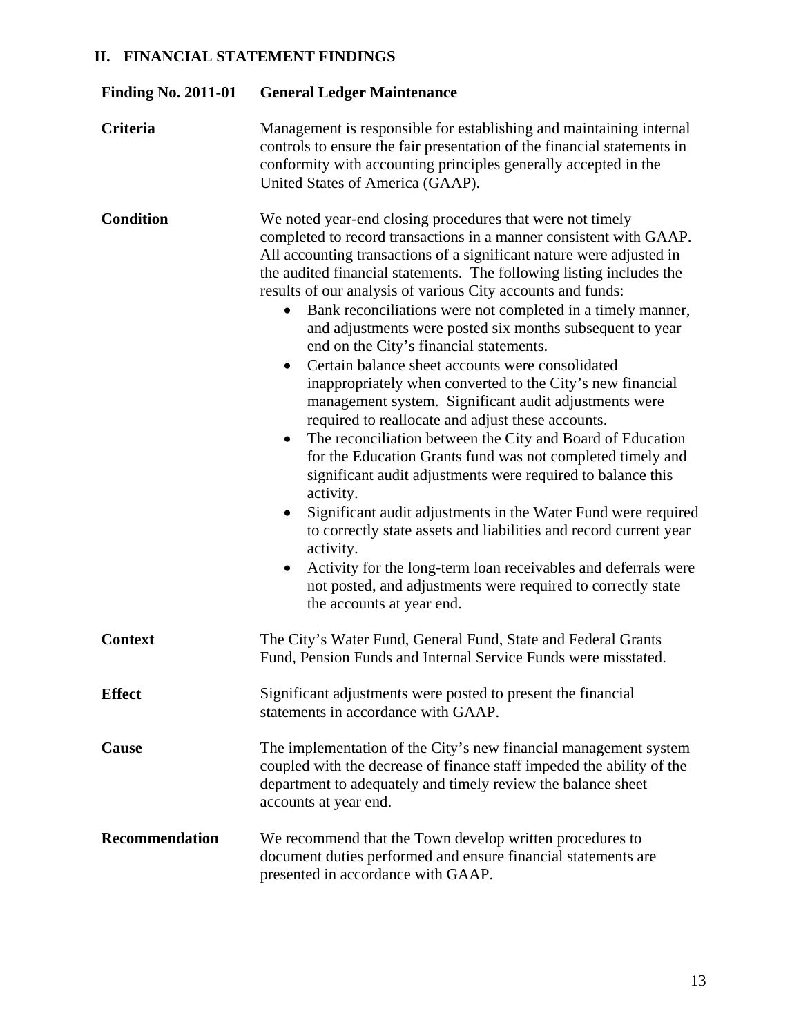# **II. FINANCIAL STATEMENT FINDINGS**

| <b>Finding No. 2011-01</b> | <b>General Ledger Maintenance</b>                                                                                                                                                                                                                                                                                                                                                                                                                                                                                                                                                                                                                                                                                                                                                                                                                                                                                                                                                                                                                                                                                                                                                                                                                                                                                                   |
|----------------------------|-------------------------------------------------------------------------------------------------------------------------------------------------------------------------------------------------------------------------------------------------------------------------------------------------------------------------------------------------------------------------------------------------------------------------------------------------------------------------------------------------------------------------------------------------------------------------------------------------------------------------------------------------------------------------------------------------------------------------------------------------------------------------------------------------------------------------------------------------------------------------------------------------------------------------------------------------------------------------------------------------------------------------------------------------------------------------------------------------------------------------------------------------------------------------------------------------------------------------------------------------------------------------------------------------------------------------------------|
| <b>Criteria</b>            | Management is responsible for establishing and maintaining internal<br>controls to ensure the fair presentation of the financial statements in<br>conformity with accounting principles generally accepted in the<br>United States of America (GAAP).                                                                                                                                                                                                                                                                                                                                                                                                                                                                                                                                                                                                                                                                                                                                                                                                                                                                                                                                                                                                                                                                               |
| <b>Condition</b>           | We noted year-end closing procedures that were not timely<br>completed to record transactions in a manner consistent with GAAP.<br>All accounting transactions of a significant nature were adjusted in<br>the audited financial statements. The following listing includes the<br>results of our analysis of various City accounts and funds:<br>Bank reconciliations were not completed in a timely manner,<br>and adjustments were posted six months subsequent to year<br>end on the City's financial statements.<br>Certain balance sheet accounts were consolidated<br>$\bullet$<br>inappropriately when converted to the City's new financial<br>management system. Significant audit adjustments were<br>required to reallocate and adjust these accounts.<br>The reconciliation between the City and Board of Education<br>$\bullet$<br>for the Education Grants fund was not completed timely and<br>significant audit adjustments were required to balance this<br>activity.<br>Significant audit adjustments in the Water Fund were required<br>$\bullet$<br>to correctly state assets and liabilities and record current year<br>activity.<br>Activity for the long-term loan receivables and deferrals were<br>$\bullet$<br>not posted, and adjustments were required to correctly state<br>the accounts at year end. |
| <b>Context</b>             | The City's Water Fund, General Fund, State and Federal Grants<br>Fund, Pension Funds and Internal Service Funds were misstated.                                                                                                                                                                                                                                                                                                                                                                                                                                                                                                                                                                                                                                                                                                                                                                                                                                                                                                                                                                                                                                                                                                                                                                                                     |
| <b>Effect</b>              | Significant adjustments were posted to present the financial<br>statements in accordance with GAAP.                                                                                                                                                                                                                                                                                                                                                                                                                                                                                                                                                                                                                                                                                                                                                                                                                                                                                                                                                                                                                                                                                                                                                                                                                                 |
| Cause                      | The implementation of the City's new financial management system<br>coupled with the decrease of finance staff impeded the ability of the<br>department to adequately and timely review the balance sheet<br>accounts at year end.                                                                                                                                                                                                                                                                                                                                                                                                                                                                                                                                                                                                                                                                                                                                                                                                                                                                                                                                                                                                                                                                                                  |
| <b>Recommendation</b>      | We recommend that the Town develop written procedures to<br>document duties performed and ensure financial statements are<br>presented in accordance with GAAP.                                                                                                                                                                                                                                                                                                                                                                                                                                                                                                                                                                                                                                                                                                                                                                                                                                                                                                                                                                                                                                                                                                                                                                     |